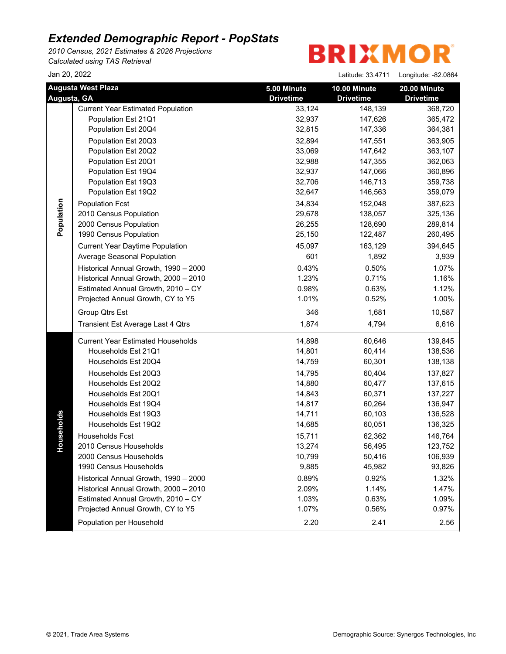*2010 Census, 2021 Estimates & 2026 Projections Calculated using TAS Retrieval*

**BRIXMOR** 

Jan 20, 2022 Latitude: 33.4711 Longitude: -82.0864

|             | <b>Augusta West Plaza</b>                | 5.00 Minute      | 10.00 Minute     | 20.00 Minute     |
|-------------|------------------------------------------|------------------|------------------|------------------|
| Augusta, GA |                                          | <b>Drivetime</b> | <b>Drivetime</b> | <b>Drivetime</b> |
|             | <b>Current Year Estimated Population</b> | 33,124           | 148,139          | 368,720          |
|             | Population Est 21Q1                      | 32,937           | 147,626          | 365,472          |
|             | Population Est 20Q4                      | 32,815           | 147,336          | 364,381          |
|             | Population Est 20Q3                      | 32,894           | 147,551          | 363,905          |
|             | Population Est 20Q2                      | 33,069           | 147,642          | 363,107          |
|             | Population Est 20Q1                      | 32,988           | 147,355          | 362,063          |
|             | Population Est 19Q4                      | 32,937           | 147,066          | 360,896          |
|             | Population Est 19Q3                      | 32,706           | 146,713          | 359,738          |
|             | Population Est 19Q2                      | 32,647           | 146,563          | 359,079          |
| Population  | <b>Population Fcst</b>                   | 34,834           | 152,048          | 387,623          |
|             | 2010 Census Population                   | 29,678           | 138,057          | 325,136          |
|             | 2000 Census Population                   | 26,255           | 128,690          | 289,814          |
|             | 1990 Census Population                   | 25,150           | 122,487          | 260,495          |
|             | <b>Current Year Daytime Population</b>   | 45,097           | 163,129          | 394,645          |
|             | Average Seasonal Population              | 601              | 1,892            | 3,939            |
|             | Historical Annual Growth, 1990 - 2000    | 0.43%            | 0.50%            | 1.07%            |
|             | Historical Annual Growth, 2000 - 2010    | 1.23%            | 0.71%            | 1.16%            |
|             | Estimated Annual Growth, 2010 - CY       | 0.98%            | 0.63%            | 1.12%            |
|             | Projected Annual Growth, CY to Y5        | 1.01%            | 0.52%            | 1.00%            |
|             | Group Qtrs Est                           | 346              | 1,681            | 10,587           |
|             | Transient Est Average Last 4 Qtrs        | 1,874            | 4,794            | 6,616            |
|             | <b>Current Year Estimated Households</b> | 14,898           | 60,646           | 139,845          |
|             | Households Est 21Q1                      | 14,801           | 60,414           | 138,536          |
|             | Households Est 20Q4                      | 14,759           | 60,301           | 138,138          |
|             | Households Est 20Q3                      | 14,795           | 60,404           | 137,827          |
|             | Households Est 20Q2                      | 14,880           | 60,477           | 137,615          |
|             | Households Est 20Q1                      | 14,843           | 60,371           | 137,227          |
|             | Households Est 19Q4                      | 14,817           | 60,264           | 136,947          |
|             | Households Est 19Q3                      | 14,711           | 60,103           | 136,528          |
| ouseholds   | Households Est 19Q2                      | 14,685           | 60,051           | 136,325          |
|             | Households Fcst                          | 15,711           | 62,362           | 146,764          |
|             | 2010 Census Households                   | 13,274           | 56,495           | 123,752          |
| ᅩ           | 2000 Census Households                   | 10,799           | 50,416           | 106,939          |
|             | 1990 Census Households                   | 9,885            | 45,982           | 93,826           |
|             | Historical Annual Growth, 1990 - 2000    | 0.89%            | 0.92%            | 1.32%            |
|             | Historical Annual Growth, 2000 - 2010    | 2.09%            | 1.14%            | 1.47%            |
|             | Estimated Annual Growth, 2010 - CY       | 1.03%            | 0.63%            | 1.09%            |
|             | Projected Annual Growth, CY to Y5        | 1.07%            | 0.56%            | 0.97%            |
|             | Population per Household                 | 2.20             | 2.41             | 2.56             |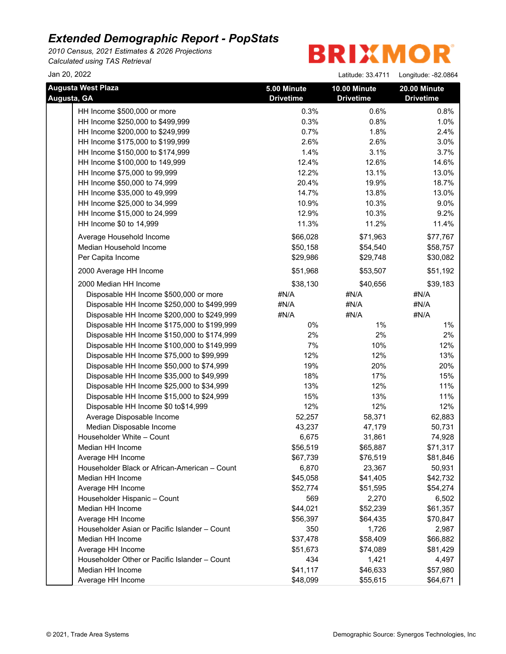*2010 Census, 2021 Estimates & 2026 Projections Calculated using TAS Retrieval*

| Jan 20, 2022                                  |                  | Latitude: 33.4711 | Longitude: -82.0864 |
|-----------------------------------------------|------------------|-------------------|---------------------|
| <b>Augusta West Plaza</b>                     | 5.00 Minute      | 10.00 Minute      | 20.00 Minute        |
| Augusta, GA                                   | <b>Drivetime</b> | <b>Drivetime</b>  | <b>Drivetime</b>    |
| HH Income \$500,000 or more                   | 0.3%             | 0.6%              | 0.8%                |
| HH Income \$250,000 to \$499,999              | 0.3%             | 0.8%              | 1.0%                |
| HH Income \$200,000 to \$249,999              | 0.7%             | 1.8%              | 2.4%                |
| HH Income \$175,000 to \$199,999              | 2.6%             | 2.6%              | 3.0%                |
| HH Income \$150,000 to \$174,999              | 1.4%             | 3.1%              | 3.7%                |
| HH Income \$100,000 to 149,999                | 12.4%            | 12.6%             | 14.6%               |
| HH Income \$75,000 to 99,999                  | 12.2%            | 13.1%             | 13.0%               |
| HH Income \$50,000 to 74,999                  | 20.4%            | 19.9%             | 18.7%               |
| HH Income \$35,000 to 49,999                  | 14.7%            | 13.8%             | 13.0%               |
| HH Income \$25,000 to 34,999                  | 10.9%            | 10.3%             | 9.0%                |
| HH Income \$15,000 to 24,999                  | 12.9%            | 10.3%             | 9.2%                |
| HH Income \$0 to 14,999                       | 11.3%            | 11.2%             | 11.4%               |
| Average Household Income                      | \$66,028         | \$71,963          | \$77,767            |
| Median Household Income                       | \$50,158         | \$54,540          | \$58,757            |
| Per Capita Income                             | \$29,986         | \$29,748          | \$30,082            |
| 2000 Average HH Income                        | \$51,968         | \$53,507          | \$51,192            |
| 2000 Median HH Income                         | \$38,130         | \$40,656          | \$39,183            |
| Disposable HH Income \$500,000 or more        | #N/A             | #N/A              | #N/A                |
| Disposable HH Income \$250,000 to \$499,999   | #N/A             | #N/A              | #N/A                |
| Disposable HH Income \$200,000 to \$249,999   | #N/A             | #N/A              | #N/A                |
| Disposable HH Income \$175,000 to \$199,999   | 0%               | $1\%$             | 1%                  |
| Disposable HH Income \$150,000 to \$174,999   | 2%               | 2%                | 2%                  |
| Disposable HH Income \$100,000 to \$149,999   | 7%               | 10%               | 12%                 |
| Disposable HH Income \$75,000 to \$99,999     | 12%              | 12%               | 13%                 |
| Disposable HH Income \$50,000 to \$74,999     | 19%              | 20%               | 20%                 |
| Disposable HH Income \$35,000 to \$49,999     | 18%              | 17%               | 15%                 |
| Disposable HH Income \$25,000 to \$34,999     | 13%              | 12%               | 11%                 |
| Disposable HH Income \$15,000 to \$24,999     | 15%              | 13%               | 11%                 |
| Disposable HH Income \$0 to\$14,999           | 12%              | 12%               | 12%                 |
| Average Disposable Income                     | 52,257           | 58,371            | 62,883              |
| Median Disposable Income                      | 43,237           | 47,179            | 50,731              |
| Householder White - Count                     | 6,675            | 31,861            | 74,928              |
| Median HH Income                              | \$56,519         | \$65,887          | \$71,317            |
| Average HH Income                             | \$67,739         | \$76,519          | \$81,846            |
| Householder Black or African-American - Count | 6,870            | 23,367            | 50,931              |
| Median HH Income                              | \$45,058         | \$41,405          | \$42,732            |
| Average HH Income                             | \$52,774         | \$51,595          | \$54,274            |
| Householder Hispanic - Count                  | 569              | 2,270             | 6,502               |
| Median HH Income                              | \$44,021         | \$52,239          | \$61,357            |
| Average HH Income                             | \$56,397         | \$64,435          | \$70,847            |
| Householder Asian or Pacific Islander - Count | 350              | 1,726             | 2,987               |
| Median HH Income                              | \$37,478         | \$58,409          | \$66,882            |
| Average HH Income                             | \$51,673         | \$74,089          | \$81,429            |
| Householder Other or Pacific Islander - Count | 434              | 1,421             | 4,497               |
| Median HH Income                              | \$41,117         | \$46,633          | \$57,980            |
| Average HH Income                             | \$48,099         | \$55,615          | \$64,671            |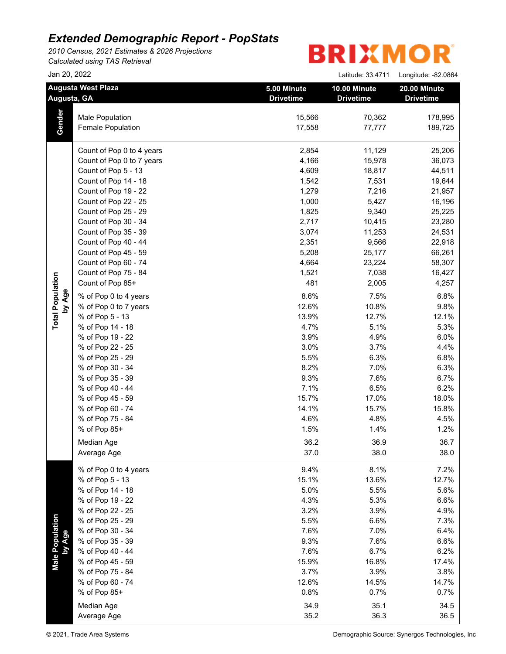*2010 Census, 2021 Estimates & 2026 Projections Calculated using TAS Retrieval*

| Jan 20, 2022                             |                           |                                 | Latitude: 33.4711                | Longitude: -82.0864              |
|------------------------------------------|---------------------------|---------------------------------|----------------------------------|----------------------------------|
| <b>Augusta West Plaza</b><br>Augusta, GA |                           | 5.00 Minute<br><b>Drivetime</b> | 10.00 Minute<br><b>Drivetime</b> | 20.00 Minute<br><b>Drivetime</b> |
|                                          | Male Population           | 15,566                          | 70,362                           | 178,995                          |
| Gender                                   | Female Population         | 17,558                          | 77,777                           | 189,725                          |
|                                          | Count of Pop 0 to 4 years | 2,854                           | 11,129                           | 25,206                           |
|                                          | Count of Pop 0 to 7 years | 4,166                           | 15,978                           | 36,073                           |
|                                          | Count of Pop 5 - 13       | 4,609                           | 18,817                           | 44,511                           |
|                                          | Count of Pop 14 - 18      | 1,542                           | 7,531                            | 19,644                           |
|                                          | Count of Pop 19 - 22      | 1,279                           | 7,216                            | 21,957                           |
|                                          | Count of Pop 22 - 25      | 1,000                           | 5,427                            | 16,196                           |
|                                          | Count of Pop 25 - 29      | 1,825                           | 9,340                            | 25,225                           |
|                                          | Count of Pop 30 - 34      | 2,717                           | 10,415                           | 23,280                           |
|                                          | Count of Pop 35 - 39      | 3,074                           | 11,253                           | 24,531                           |
|                                          | Count of Pop 40 - 44      | 2,351                           | 9,566                            | 22,918                           |
|                                          | Count of Pop 45 - 59      | 5,208                           | 25,177                           | 66,261                           |
|                                          | Count of Pop 60 - 74      | 4,664                           | 23,224                           | 58,307                           |
|                                          | Count of Pop 75 - 84      | 1,521                           | 7,038                            | 16,427                           |
|                                          | Count of Pop 85+          | 481                             | 2,005                            | 4,257                            |
| by Age                                   | % of Pop 0 to 4 years     | 8.6%                            | 7.5%                             | 6.8%                             |
| <b>Total Population</b>                  | % of Pop 0 to 7 years     | 12.6%                           | 10.8%                            | 9.8%                             |
|                                          | % of Pop 5 - 13           | 13.9%                           | 12.7%                            | 12.1%                            |
|                                          | % of Pop 14 - 18          | 4.7%                            | 5.1%                             | 5.3%                             |
|                                          | % of Pop 19 - 22          | 3.9%                            | 4.9%                             | 6.0%                             |
|                                          | % of Pop 22 - 25          | 3.0%                            | 3.7%                             | 4.4%                             |
|                                          | % of Pop 25 - 29          | 5.5%                            | 6.3%                             | 6.8%                             |
|                                          | % of Pop 30 - 34          | 8.2%                            | 7.0%                             | 6.3%                             |
|                                          | % of Pop 35 - 39          | 9.3%                            | 7.6%                             | 6.7%                             |
|                                          | % of Pop 40 - 44          | 7.1%                            | 6.5%                             | 6.2%                             |
|                                          | % of Pop 45 - 59          | 15.7%                           | 17.0%                            | 18.0%                            |
|                                          | % of Pop 60 - 74          | 14.1%                           | 15.7%                            | 15.8%                            |
|                                          | % of Pop 75 - 84          | 4.6%                            | 4.8%                             | 4.5%                             |
|                                          | % of Pop 85+              | 1.5%                            | 1.4%                             | 1.2%                             |
|                                          | Median Age                | 36.2                            | 36.9                             | 36.7                             |
|                                          | Average Age               | 37.0                            | 38.0                             | 38.0                             |
|                                          | % of Pop 0 to 4 years     | 9.4%                            | 8.1%                             | 7.2%                             |
|                                          | % of Pop 5 - 13           | 15.1%                           | 13.6%                            | 12.7%                            |
|                                          | % of Pop 14 - 18          | 5.0%                            | 5.5%                             | 5.6%                             |
|                                          | % of Pop 19 - 22          | 4.3%                            | 5.3%                             | 6.6%                             |
|                                          | % of Pop 22 - 25          | 3.2%                            | 3.9%                             | 4.9%                             |
|                                          | % of Pop 25 - 29          | 5.5%                            | 6.6%                             | 7.3%                             |
|                                          | % of Pop 30 - 34          | 7.6%                            | 7.0%                             | 6.4%                             |
| <b>Male Population</b><br>by Age         | % of Pop 35 - 39          | 9.3%                            | 7.6%                             | 6.6%                             |
|                                          | % of Pop 40 - 44          | 7.6%                            | 6.7%                             | 6.2%                             |
|                                          | % of Pop 45 - 59          | 15.9%                           | 16.8%                            | 17.4%                            |
|                                          | % of Pop 75 - 84          | 3.7%                            | 3.9%                             | 3.8%                             |
|                                          | % of Pop 60 - 74          | 12.6%                           | 14.5%                            | 14.7%                            |
|                                          | % of Pop 85+              | 0.8%                            | 0.7%                             | 0.7%                             |
|                                          | Median Age                | 34.9                            | 35.1                             | 34.5                             |
|                                          | Average Age               | 35.2                            | 36.3                             | 36.5                             |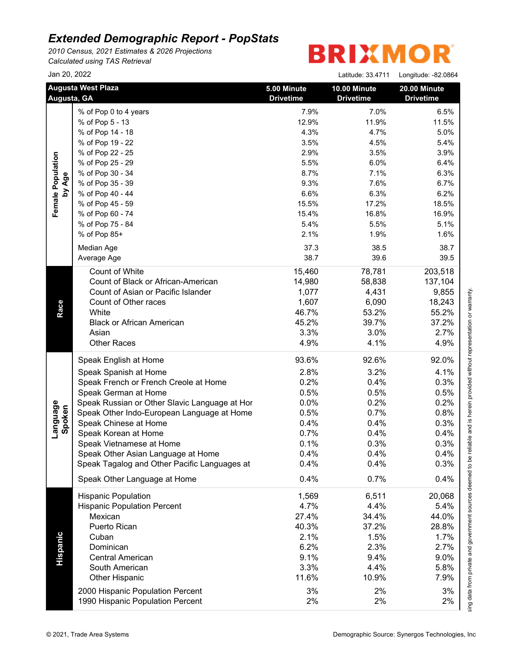*2010 Census, 2021 Estimates & 2026 Projections Calculated using TAS Retrieval*

|                    | Jan 20, 2022                                                        |                                 | Latitude: 33.4711                | Longitude: -82.0864              |
|--------------------|---------------------------------------------------------------------|---------------------------------|----------------------------------|----------------------------------|
|                    | <b>Augusta West Plaza</b><br>Augusta, GA                            | 5.00 Minute<br><b>Drivetime</b> | 10.00 Minute<br><b>Drivetime</b> | 20.00 Minute<br><b>Drivetime</b> |
|                    | % of Pop 0 to 4 years                                               | 7.9%                            | 7.0%                             | 6.5%                             |
|                    | % of Pop 5 - 13                                                     | 12.9%                           | 11.9%                            | 11.5%                            |
|                    | % of Pop 14 - 18                                                    | 4.3%                            | 4.7%                             | 5.0%                             |
|                    | % of Pop 19 - 22                                                    | 3.5%                            | 4.5%                             | 5.4%                             |
|                    | % of Pop 22 - 25                                                    | 2.9%                            | 3.5%                             | 3.9%                             |
|                    | % of Pop 25 - 29                                                    | 5.5%                            | 6.0%                             | 6.4%                             |
|                    | % of Pop 30 - 34                                                    | 8.7%                            | 7.1%                             | 6.3%                             |
| by Age             | % of Pop 35 - 39                                                    | 9.3%                            | 7.6%                             | 6.7%                             |
|                    | % of Pop 40 - 44                                                    | 6.6%                            | 6.3%                             | 6.2%                             |
|                    | % of Pop 45 - 59                                                    | 15.5%                           | 17.2%                            | 18.5%                            |
|                    | % of Pop 60 - 74                                                    | 15.4%                           | 16.8%                            | 16.9%                            |
|                    | % of Pop 75 - 84                                                    | 5.4%                            | 5.5%                             | 5.1%                             |
|                    | % of Pop 85+                                                        | 2.1%                            | 1.9%                             | 1.6%                             |
|                    | Median Age                                                          | 37.3                            | 38.5                             | 38.7                             |
|                    | Average Age                                                         | 38.7                            | 39.6                             | 39.5                             |
|                    | Count of White                                                      | 15,460                          | 78,781                           | 203,518                          |
|                    | Count of Black or African-American                                  | 14,980                          | 58,838                           | 137,104                          |
|                    | Count of Asian or Pacific Islander                                  | 1,077                           | 4,431                            | 9,855                            |
|                    | Count of Other races                                                | 1,607                           | 6,090                            | 18,243                           |
|                    | White                                                               | 46.7%                           | 53.2%                            | 55.2%                            |
|                    | <b>Black or African American</b>                                    | 45.2%                           | 39.7%                            | 37.2%                            |
|                    | Asian                                                               | 3.3%                            | 3.0%                             | 2.7%                             |
|                    | <b>Other Races</b>                                                  | 4.9%                            | 4.1%                             | 4.9%                             |
|                    | Speak English at Home                                               | 93.6%                           | 92.6%                            | 92.0%                            |
|                    | Speak Spanish at Home                                               | 2.8%                            | 3.2%                             | 4.1%                             |
|                    | Speak French or French Creole at Home                               | 0.2%                            | 0.4%                             | 0.3%                             |
|                    | Speak German at Home                                                | 0.5%                            | 0.5%                             | 0.5%                             |
|                    | Speak Russian or Other Slavic Language at Hor                       | 0.0%                            | 0.2%                             | 0.2%                             |
|                    |                                                                     | 0.5%                            | 0.7%                             | 0.8%                             |
|                    | Speak Other Indo-European Language at Home<br>Speak Chinese at Home |                                 |                                  |                                  |
| Language<br>Spoken |                                                                     | 0.4%                            | 0.4%                             | 0.3%                             |
|                    | Speak Korean at Home                                                | 0.7%                            | 0.4%                             | 0.4%                             |
|                    | Speak Vietnamese at Home                                            | 0.1%                            | 0.3%                             | 0.3%                             |
|                    | Speak Other Asian Language at Home                                  | 0.4%                            | 0.4%                             | 0.4%                             |
|                    | Speak Tagalog and Other Pacific Languages at                        | 0.4%                            | 0.4%                             | 0.3%                             |
|                    | Speak Other Language at Home                                        | 0.4%                            | 0.7%                             | 0.4%                             |
|                    | <b>Hispanic Population</b>                                          | 1,569                           | 6,511                            | 20,068                           |
|                    | <b>Hispanic Population Percent</b>                                  | 4.7%                            | 4.4%                             | 5.4%                             |
|                    | Mexican                                                             | 27.4%                           | 34.4%                            | 44.0%                            |
|                    | Puerto Rican                                                        | 40.3%                           | 37.2%                            | 28.8%                            |
|                    | Cuban                                                               | 2.1%                            | 1.5%                             | 1.7%                             |
|                    | Dominican                                                           | 6.2%                            | 2.3%                             | 2.7%                             |
|                    | <b>Central American</b>                                             | 9.1%                            | 9.4%                             | 9.0%                             |
|                    | South American                                                      | 3.3%                            | 4.4%                             | 5.8%                             |
|                    | <b>Other Hispanic</b>                                               | 11.6%                           | 10.9%                            | 7.9%                             |
|                    | 2000 Hispanic Population Percent                                    | 3%                              | 2%                               | 3%                               |
|                    | 1990 Hispanic Population Percent                                    | 2%                              | 2%                               | 2%                               |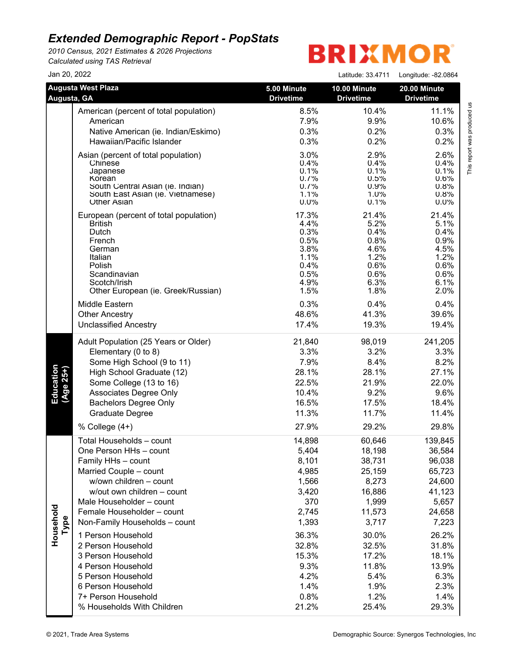*2010 Census, 2021 Estimates & 2026 Projections Calculated using TAS Retrieval*

| Jan 20, 2022           |                                                                                                                                                                                                                                                                                                                                                                                                                                                |                                                                                                                                                  | Latitude: 33.4711                                                                                                                                        | Longitude: -82.0864                                                                                                                                        |
|------------------------|------------------------------------------------------------------------------------------------------------------------------------------------------------------------------------------------------------------------------------------------------------------------------------------------------------------------------------------------------------------------------------------------------------------------------------------------|--------------------------------------------------------------------------------------------------------------------------------------------------|----------------------------------------------------------------------------------------------------------------------------------------------------------|------------------------------------------------------------------------------------------------------------------------------------------------------------|
| Augusta, GA            | <b>Augusta West Plaza</b>                                                                                                                                                                                                                                                                                                                                                                                                                      | 5.00 Minute<br><b>Drivetime</b>                                                                                                                  | 10.00 Minute<br><b>Drivetime</b>                                                                                                                         | 20.00 Minute<br><b>Drivetime</b>                                                                                                                           |
|                        | American (percent of total population)                                                                                                                                                                                                                                                                                                                                                                                                         | 8.5%                                                                                                                                             | 10.4%                                                                                                                                                    | 11.1%                                                                                                                                                      |
|                        | American                                                                                                                                                                                                                                                                                                                                                                                                                                       | 7.9%                                                                                                                                             | 9.9%                                                                                                                                                     | 10.6%                                                                                                                                                      |
|                        | Native American (ie. Indian/Eskimo)                                                                                                                                                                                                                                                                                                                                                                                                            | 0.3%                                                                                                                                             | 0.2%                                                                                                                                                     | 0.3%                                                                                                                                                       |
|                        | Hawaiian/Pacific Islander                                                                                                                                                                                                                                                                                                                                                                                                                      | 0.3%                                                                                                                                             | 0.2%                                                                                                                                                     | 0.2%                                                                                                                                                       |
|                        | Asian (percent of total population)                                                                                                                                                                                                                                                                                                                                                                                                            | 3.0%                                                                                                                                             | 2.9%                                                                                                                                                     | 2.6%                                                                                                                                                       |
|                        | Chinese                                                                                                                                                                                                                                                                                                                                                                                                                                        | 0.4%                                                                                                                                             | 0.4%                                                                                                                                                     | 0.4%                                                                                                                                                       |
|                        | Japanese                                                                                                                                                                                                                                                                                                                                                                                                                                       | 0.1%                                                                                                                                             | 0.1%                                                                                                                                                     | 0.1%                                                                                                                                                       |
|                        | Korean                                                                                                                                                                                                                                                                                                                                                                                                                                         | 0.7%                                                                                                                                             | 0.5%                                                                                                                                                     | 0.6%                                                                                                                                                       |
|                        | South Central Asian (ie. Indian)                                                                                                                                                                                                                                                                                                                                                                                                               | 0.7%                                                                                                                                             | 0.9%                                                                                                                                                     | 0.8%                                                                                                                                                       |
|                        | South East Asian (ie. Vietnamese)                                                                                                                                                                                                                                                                                                                                                                                                              | 1.1%                                                                                                                                             | $1.0\%$                                                                                                                                                  | 0.8%                                                                                                                                                       |
|                        | <b>Other Asian</b>                                                                                                                                                                                                                                                                                                                                                                                                                             | $0.0\%$                                                                                                                                          | 0.1%                                                                                                                                                     | 0.0%                                                                                                                                                       |
|                        | European (percent of total population)                                                                                                                                                                                                                                                                                                                                                                                                         | 17.3%                                                                                                                                            | 21.4%                                                                                                                                                    | 21.4%                                                                                                                                                      |
|                        | <b>British</b>                                                                                                                                                                                                                                                                                                                                                                                                                                 | 4.4%                                                                                                                                             | 5.2%                                                                                                                                                     | 5.1%                                                                                                                                                       |
|                        | Dutch                                                                                                                                                                                                                                                                                                                                                                                                                                          | 0.3%                                                                                                                                             | 0.4%                                                                                                                                                     | 0.4%                                                                                                                                                       |
|                        | French                                                                                                                                                                                                                                                                                                                                                                                                                                         | 0.5%                                                                                                                                             | 0.8%                                                                                                                                                     | 0.9%                                                                                                                                                       |
|                        | German                                                                                                                                                                                                                                                                                                                                                                                                                                         | 3.8%                                                                                                                                             | 4.6%                                                                                                                                                     | 4.5%                                                                                                                                                       |
|                        | Italian                                                                                                                                                                                                                                                                                                                                                                                                                                        | 1.1%                                                                                                                                             | 1.2%                                                                                                                                                     | 1.2%                                                                                                                                                       |
|                        | Polish                                                                                                                                                                                                                                                                                                                                                                                                                                         | 0.4%                                                                                                                                             | 0.6%                                                                                                                                                     | 0.6%                                                                                                                                                       |
|                        | Scandinavian                                                                                                                                                                                                                                                                                                                                                                                                                                   | 0.5%                                                                                                                                             | 0.6%                                                                                                                                                     | 0.6%                                                                                                                                                       |
|                        | Scotch/Irish                                                                                                                                                                                                                                                                                                                                                                                                                                   | 4.9%                                                                                                                                             | 6.3%                                                                                                                                                     | 6.1%                                                                                                                                                       |
|                        | Other European (ie. Greek/Russian)                                                                                                                                                                                                                                                                                                                                                                                                             | 1.5%                                                                                                                                             | 1.8%                                                                                                                                                     | 2.0%                                                                                                                                                       |
|                        | Middle Eastern                                                                                                                                                                                                                                                                                                                                                                                                                                 | 0.3%                                                                                                                                             | 0.4%                                                                                                                                                     | 0.4%                                                                                                                                                       |
|                        | <b>Other Ancestry</b>                                                                                                                                                                                                                                                                                                                                                                                                                          | 48.6%                                                                                                                                            | 41.3%                                                                                                                                                    | 39.6%                                                                                                                                                      |
|                        | <b>Unclassified Ancestry</b>                                                                                                                                                                                                                                                                                                                                                                                                                   | 17.4%                                                                                                                                            | 19.3%                                                                                                                                                    | 19.4%                                                                                                                                                      |
| Education<br>(Age 25+) | Adult Population (25 Years or Older)                                                                                                                                                                                                                                                                                                                                                                                                           | 21,840                                                                                                                                           | 98,019                                                                                                                                                   | 241,205                                                                                                                                                    |
|                        | Elementary (0 to 8)                                                                                                                                                                                                                                                                                                                                                                                                                            | 3.3%                                                                                                                                             | 3.2%                                                                                                                                                     | 3.3%                                                                                                                                                       |
|                        | Some High School (9 to 11)                                                                                                                                                                                                                                                                                                                                                                                                                     | 7.9%                                                                                                                                             | 8.4%                                                                                                                                                     | 8.2%                                                                                                                                                       |
|                        | High School Graduate (12)                                                                                                                                                                                                                                                                                                                                                                                                                      | 28.1%                                                                                                                                            | 28.1%                                                                                                                                                    | 27.1%                                                                                                                                                      |
|                        | Some College (13 to 16)                                                                                                                                                                                                                                                                                                                                                                                                                        | 22.5%                                                                                                                                            | 21.9%                                                                                                                                                    | 22.0%                                                                                                                                                      |
|                        | Associates Degree Only                                                                                                                                                                                                                                                                                                                                                                                                                         | 10.4%                                                                                                                                            | 9.2%                                                                                                                                                     | 9.6%                                                                                                                                                       |
|                        | <b>Bachelors Degree Only</b>                                                                                                                                                                                                                                                                                                                                                                                                                   | 16.5%                                                                                                                                            | 17.5%                                                                                                                                                    | 18.4%                                                                                                                                                      |
|                        | Graduate Degree                                                                                                                                                                                                                                                                                                                                                                                                                                | 11.3%                                                                                                                                            | 11.7%                                                                                                                                                    | 11.4%                                                                                                                                                      |
|                        | % College (4+)                                                                                                                                                                                                                                                                                                                                                                                                                                 | 27.9%                                                                                                                                            | 29.2%                                                                                                                                                    | 29.8%                                                                                                                                                      |
| Household<br>Type      | Total Households - count<br>One Person HHs - count<br>Family HHs - count<br>Married Couple - count<br>w/own children - count<br>w/out own children - count<br>Male Householder - count<br>Female Householder - count<br>Non-Family Households - count<br>1 Person Household<br>2 Person Household<br>3 Person Household<br>4 Person Household<br>5 Person Household<br>6 Person Household<br>7+ Person Household<br>% Households With Children | 14,898<br>5,404<br>8,101<br>4,985<br>1,566<br>3,420<br>370<br>2,745<br>1,393<br>36.3%<br>32.8%<br>15.3%<br>9.3%<br>4.2%<br>1.4%<br>0.8%<br>21.2% | 60,646<br>18,198<br>38,731<br>25,159<br>8,273<br>16,886<br>1,999<br>11,573<br>3,717<br>30.0%<br>32.5%<br>17.2%<br>11.8%<br>5.4%<br>1.9%<br>1.2%<br>25.4% | 139,845<br>36,584<br>96,038<br>65,723<br>24,600<br>41,123<br>5,657<br>24,658<br>7,223<br>26.2%<br>31.8%<br>18.1%<br>13.9%<br>6.3%<br>2.3%<br>1.4%<br>29.3% |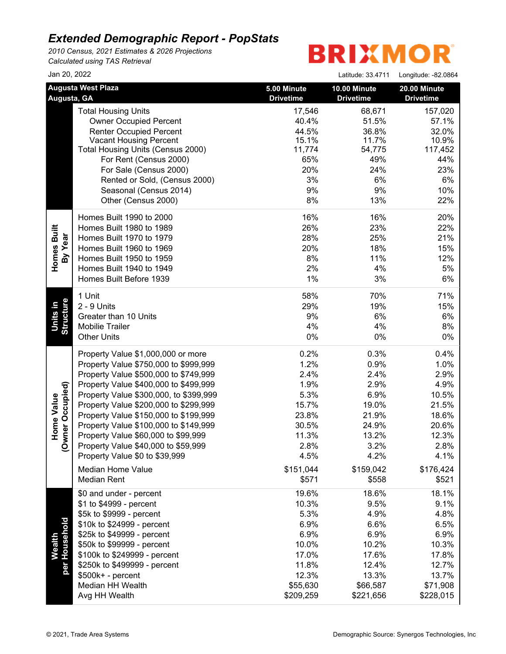*2010 Census, 2021 Estimates & 2026 Projections Calculated using TAS Retrieval*

| Jan 20, 2022                     |                                                                                                                                                                                                                                                                                                                                                                                                                                                    |                                                                                                                           | Latitude: 33.4711                                                                                                        | Longitude: -82.0864                                                                                                      |
|----------------------------------|----------------------------------------------------------------------------------------------------------------------------------------------------------------------------------------------------------------------------------------------------------------------------------------------------------------------------------------------------------------------------------------------------------------------------------------------------|---------------------------------------------------------------------------------------------------------------------------|--------------------------------------------------------------------------------------------------------------------------|--------------------------------------------------------------------------------------------------------------------------|
| Augusta, GA                      | <b>Augusta West Plaza</b>                                                                                                                                                                                                                                                                                                                                                                                                                          | 5.00 Minute<br><b>Drivetime</b>                                                                                           | 10.00 Minute<br><b>Drivetime</b>                                                                                         | 20.00 Minute<br><b>Drivetime</b>                                                                                         |
|                                  | <b>Total Housing Units</b><br><b>Owner Occupied Percent</b><br><b>Renter Occupied Percent</b><br><b>Vacant Housing Percent</b><br>Total Housing Units (Census 2000)<br>For Rent (Census 2000)<br>For Sale (Census 2000)<br>Rented or Sold, (Census 2000)<br>Seasonal (Census 2014)<br>Other (Census 2000)                                                                                                                                          | 17,546<br>40.4%<br>44.5%<br>15.1%<br>11,774<br>65%<br>20%<br>3%<br>9%<br>8%                                               | 68,671<br>51.5%<br>36.8%<br>11.7%<br>54,775<br>49%<br>24%<br>6%<br>9%<br>13%                                             | 157,020<br>57.1%<br>32.0%<br>10.9%<br>117,452<br>44%<br>23%<br>6%<br>10%<br>22%                                          |
| Homes Built<br>By Year           | Homes Built 1990 to 2000<br>Homes Built 1980 to 1989<br>Homes Built 1970 to 1979<br>Homes Built 1960 to 1969<br>Homes Built 1950 to 1959<br>Homes Built 1940 to 1949<br>Homes Built Before 1939                                                                                                                                                                                                                                                    | 16%<br>26%<br>28%<br>20%<br>8%<br>2%<br>1%                                                                                | 16%<br>23%<br>25%<br>18%<br>11%<br>4%<br>3%                                                                              | 20%<br>22%<br>21%<br>15%<br>12%<br>5%<br>6%                                                                              |
| <b>Units in</b><br>Structure     | 1 Unit<br>2 - 9 Units<br>Greater than 10 Units<br><b>Mobilie Trailer</b><br><b>Other Units</b>                                                                                                                                                                                                                                                                                                                                                     | 58%<br>29%<br>9%<br>4%<br>$0\%$                                                                                           | 70%<br>19%<br>6%<br>4%<br>0%                                                                                             | 71%<br>15%<br>6%<br>8%<br>0%                                                                                             |
| mer Occupied)<br>Home Value<br>ģ | Property Value \$1,000,000 or more<br>Property Value \$750,000 to \$999,999<br>Property Value \$500,000 to \$749,999<br>Property Value \$400,000 to \$499,999<br>Property Value \$300,000, to \$399,999<br>Property Value \$200,000 to \$299,999<br>Property Value \$150,000 to \$199,999<br>Property Value \$100,000 to \$149,999<br>Property Value \$60,000 to \$99,999<br>Property Value \$40,000 to \$59,999<br>Property Value \$0 to \$39,999 | 0.2%<br>1.2%<br>2.4%<br>1.9%<br>5.3%<br>15.7%<br>23.8%<br>30.5%<br>11.3%<br>2.8%<br>4.5%                                  | 0.3%<br>0.9%<br>2.4%<br>2.9%<br>6.9%<br>19.0%<br>21.9%<br>24.9%<br>13.2%<br>3.2%<br>4.2%                                 | 0.4%<br>1.0%<br>2.9%<br>4.9%<br>10.5%<br>21.5%<br>18.6%<br>20.6%<br>12.3%<br>2.8%<br>4.1%                                |
| Wealth<br>Household<br>per l     | Median Home Value<br><b>Median Rent</b><br>\$0 and under - percent<br>\$1 to \$4999 - percent<br>\$5k to \$9999 - percent<br>\$10k to \$24999 - percent<br>\$25k to \$49999 - percent<br>\$50k to \$99999 - percent<br>\$100k to \$249999 - percent<br>\$250k to \$499999 - percent<br>\$500k+ - percent<br>Median HH Wealth<br>Avg HH Wealth                                                                                                      | \$151,044<br>\$571<br>19.6%<br>10.3%<br>5.3%<br>6.9%<br>6.9%<br>10.0%<br>17.0%<br>11.8%<br>12.3%<br>\$55,630<br>\$209,259 | \$159,042<br>\$558<br>18.6%<br>9.5%<br>4.9%<br>6.6%<br>6.9%<br>10.2%<br>17.6%<br>12.4%<br>13.3%<br>\$66,587<br>\$221,656 | \$176,424<br>\$521<br>18.1%<br>9.1%<br>4.8%<br>6.5%<br>6.9%<br>10.3%<br>17.8%<br>12.7%<br>13.7%<br>\$71,908<br>\$228,015 |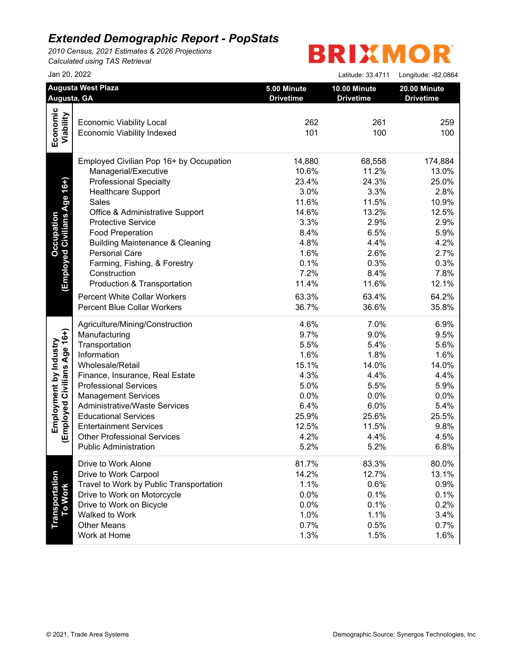*2010 Census, 2021 Estimates & 2026 Projections Calculated using TAS Retrieval*

|                                                       | Jan 20, 2022                                                                                                                                                                                                                                                                                                                                                                                                                                                 |                                                                                                                               | Latitude: 33.4711                                                                                                             | Longitude: - 82.0864                                                                                                           |
|-------------------------------------------------------|--------------------------------------------------------------------------------------------------------------------------------------------------------------------------------------------------------------------------------------------------------------------------------------------------------------------------------------------------------------------------------------------------------------------------------------------------------------|-------------------------------------------------------------------------------------------------------------------------------|-------------------------------------------------------------------------------------------------------------------------------|--------------------------------------------------------------------------------------------------------------------------------|
| Augusta, GA                                           | <b>Augusta West Plaza</b>                                                                                                                                                                                                                                                                                                                                                                                                                                    | 5.00 Minute<br><b>Drivetime</b>                                                                                               | 10.00 Minute<br><b>Drivetime</b>                                                                                              | 20.00 Minute<br><b>Drivetime</b>                                                                                               |
| Economic<br>Viability                                 | <b>Economic Viability Local</b><br><b>Economic Viability Indexed</b>                                                                                                                                                                                                                                                                                                                                                                                         | 262<br>101                                                                                                                    | 261<br>100                                                                                                                    | 259<br>100                                                                                                                     |
| (Employed Civilians Age 16+)<br>Occupation            | Employed Civilian Pop 16+ by Occupation<br>Managerial/Executive<br><b>Professional Specialty</b><br><b>Healthcare Support</b><br>Sales<br>Office & Administrative Support<br><b>Protective Service</b><br><b>Food Preperation</b><br><b>Building Maintenance &amp; Cleaning</b><br>Personal Care<br>Farming, Fishing, & Forestry<br>Construction<br>Production & Transportation<br><b>Percent White Collar Workers</b><br><b>Percent Blue Collar Workers</b> | 14,880<br>10.6%<br>23.4%<br>3.0%<br>11.6%<br>14.6%<br>3.3%<br>8.4%<br>4.8%<br>1.6%<br>0.1%<br>7.2%<br>11.4%<br>63.3%<br>36.7% | 68,558<br>11.2%<br>24.3%<br>3.3%<br>11.5%<br>13.2%<br>2.9%<br>6.5%<br>4.4%<br>2.6%<br>0.3%<br>8.4%<br>11.6%<br>63.4%<br>36.6% | 174,884<br>13.0%<br>25.0%<br>2.8%<br>10.9%<br>12.5%<br>2.9%<br>5.9%<br>4.2%<br>2.7%<br>0.3%<br>7.8%<br>12.1%<br>64.2%<br>35.8% |
| Employed Civilians Age 16+)<br>Employment by Industry | Agriculture/Mining/Construction<br>Manufacturing<br>Transportation<br>Information<br>Wholesale/Retail<br>Finance, Insurance, Real Estate<br><b>Professional Services</b><br><b>Management Services</b><br><b>Administrative/Waste Services</b><br><b>Educational Services</b><br><b>Entertainment Services</b><br><b>Other Professional Services</b><br><b>Public Administration</b>                                                                         | 4.6%<br>9.7%<br>5.5%<br>1.6%<br>15.1%<br>4.3%<br>5.0%<br>0.0%<br>6.4%<br>25.9%<br>12.5%<br>4.2%<br>5.2%                       | 7.0%<br>9.0%<br>5.4%<br>1.8%<br>14.0%<br>4.4%<br>5.5%<br>0.0%<br>6.0%<br>25.6%<br>11.5%<br>4.4%<br>5.2%                       | 6.9%<br>9.5%<br>5.6%<br>1.6%<br>14.0%<br>4.4%<br>5.9%<br>0.0%<br>5.4%<br>25.5%<br>9.8%<br>4.5%<br>6.8%                         |
| <b>Transportation<br/>To Work</b>                     | Drive to Work Alone<br>Drive to Work Carpool<br>Travel to Work by Public Transportation<br>Drive to Work on Motorcycle<br>Drive to Work on Bicycle<br>Walked to Work<br><b>Other Means</b><br>Work at Home                                                                                                                                                                                                                                                   | 81.7%<br>14.2%<br>1.1%<br>0.0%<br>0.0%<br>1.0%<br>0.7%<br>1.3%                                                                | 83.3%<br>12.7%<br>0.6%<br>0.1%<br>0.1%<br>1.1%<br>0.5%<br>1.5%                                                                | 80.0%<br>13.1%<br>0.9%<br>0.1%<br>0.2%<br>3.4%<br>0.7%<br>1.6%                                                                 |